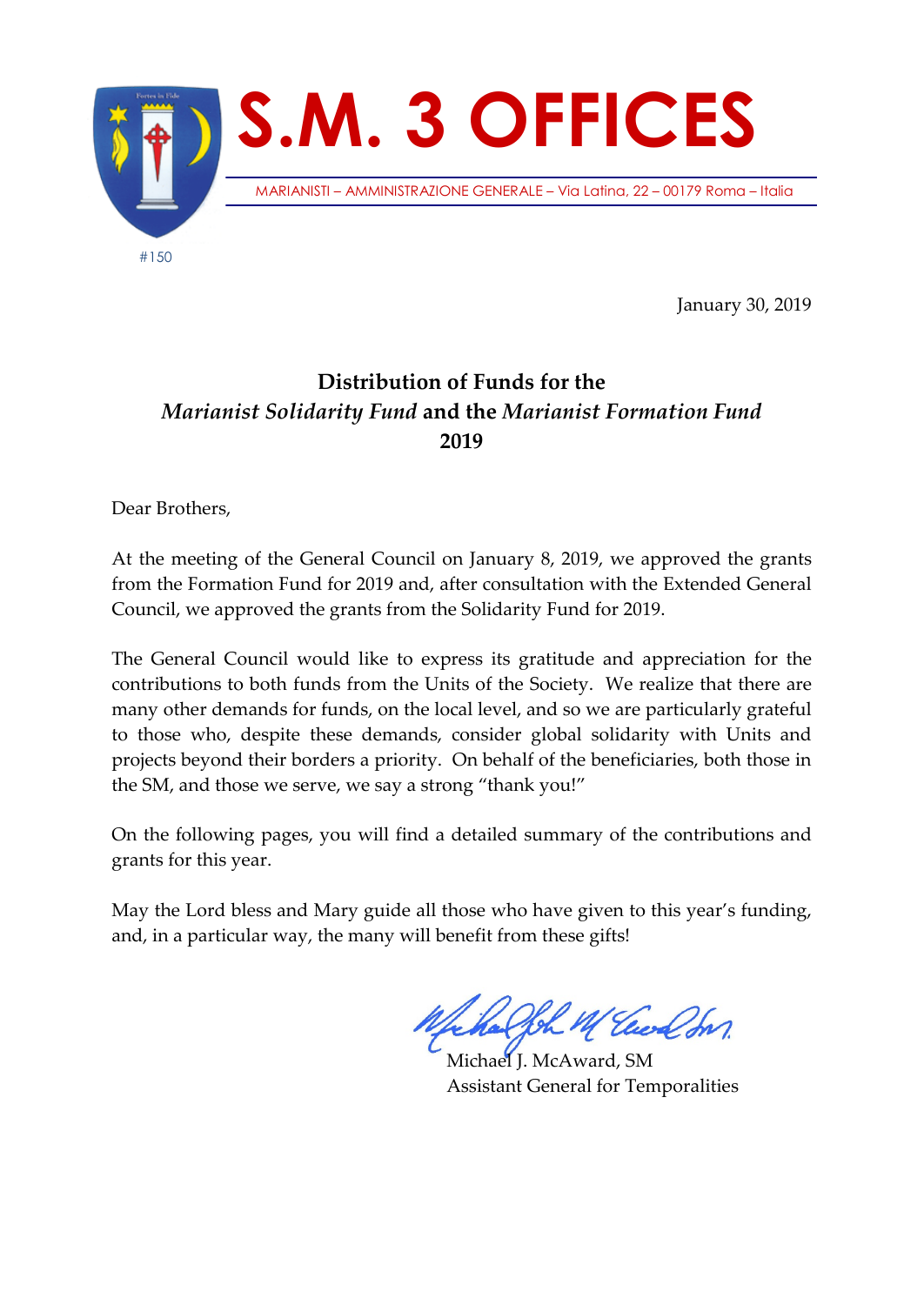

January 30, 2019

## **Distribution of Funds for the**  *Marianist Solidarity Fund* **and the** *Marianist Formation Fund* **2019**

Dear Brothers,

At the meeting of the General Council on January 8, 2019, we approved the grants from the Formation Fund for 2019 and, after consultation with the Extended General Council, we approved the grants from the Solidarity Fund for 2019.

The General Council would like to express its gratitude and appreciation for the contributions to both funds from the Units of the Society. We realize that there are many other demands for funds, on the local level, and so we are particularly grateful to those who, despite these demands, consider global solidarity with Units and projects beyond their borders a priority. On behalf of the beneficiaries, both those in the SM, and those we serve, we say a strong "thank you!"

On the following pages, you will find a detailed summary of the contributions and grants for this year.

May the Lord bless and Mary guide all those who have given to this year's funding, and, in a particular way, the many will benefit from these gifts!

Joh M Euch In

Michael J. McAward, SM Assistant General for Temporalities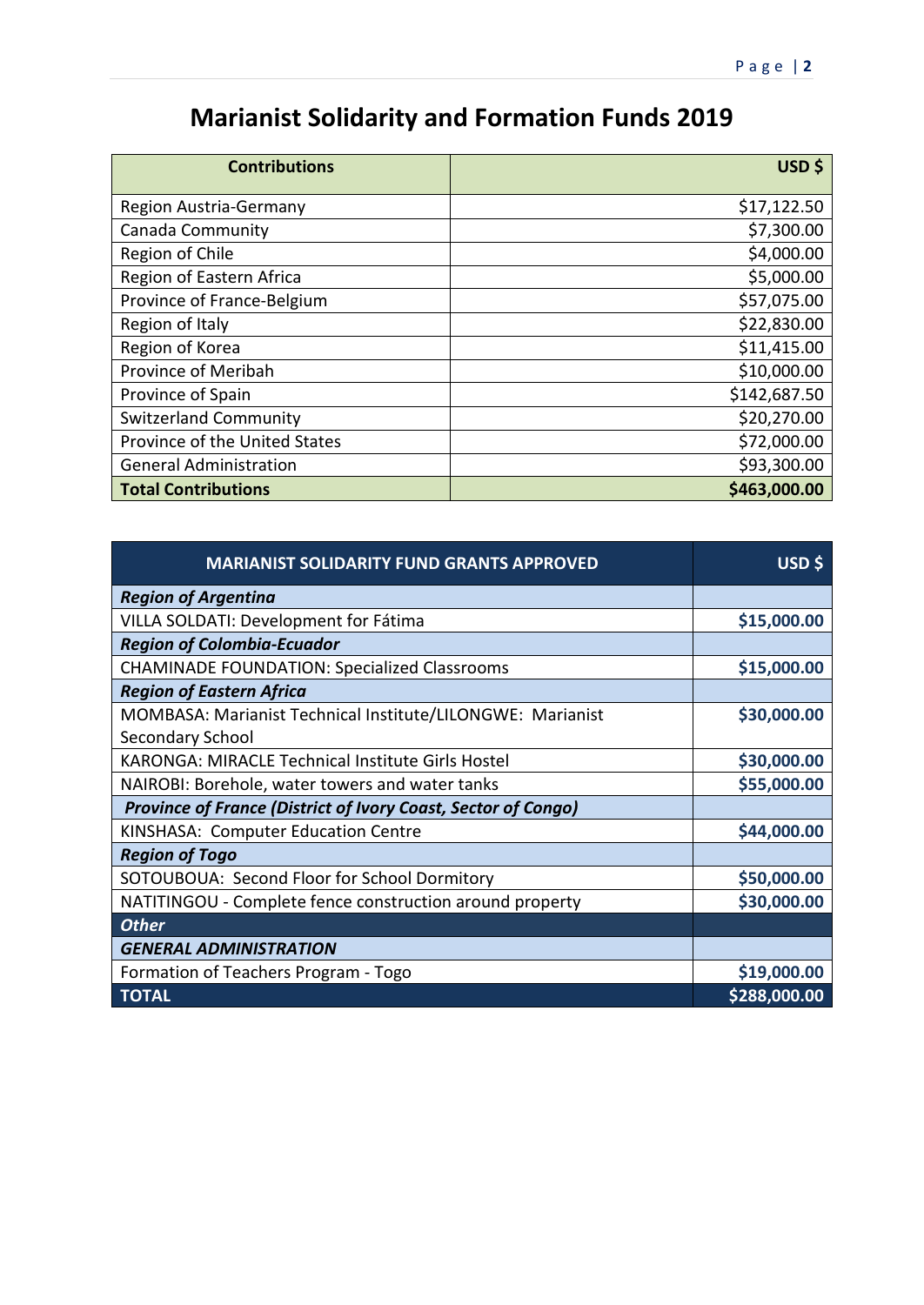## **Marianist Solidarity and Formation Funds 2019**

| <b>Contributions</b>          | USD \$       |
|-------------------------------|--------------|
| Region Austria-Germany        | \$17,122.50  |
| Canada Community              | \$7,300.00   |
| Region of Chile               | \$4,000.00   |
| Region of Eastern Africa      | \$5,000.00   |
| Province of France-Belgium    | \$57,075.00  |
| Region of Italy               | \$22,830.00  |
| Region of Korea               | \$11,415.00  |
| Province of Meribah           | \$10,000.00  |
| Province of Spain             | \$142,687.50 |
| <b>Switzerland Community</b>  | \$20,270.00  |
| Province of the United States | \$72,000.00  |
| <b>General Administration</b> | \$93,300.00  |
| <b>Total Contributions</b>    | \$463,000.00 |

| <b>MARIANIST SOLIDARITY FUND GRANTS APPROVED</b>              | USD \$       |
|---------------------------------------------------------------|--------------|
| <b>Region of Argentina</b>                                    |              |
| VILLA SOLDATI: Development for Fátima                         | \$15,000.00  |
| <b>Region of Colombia-Ecuador</b>                             |              |
| <b>CHAMINADE FOUNDATION: Specialized Classrooms</b>           | \$15,000.00  |
| <b>Region of Eastern Africa</b>                               |              |
| MOMBASA: Marianist Technical Institute/LILONGWE: Marianist    | \$30,000.00  |
| Secondary School                                              |              |
| KARONGA: MIRACLE Technical Institute Girls Hostel             | \$30,000.00  |
| NAIROBI: Borehole, water towers and water tanks               | \$55,000.00  |
| Province of France (District of Ivory Coast, Sector of Congo) |              |
| KINSHASA: Computer Education Centre                           | \$44,000.00  |
| <b>Region of Togo</b>                                         |              |
| SOTOUBOUA: Second Floor for School Dormitory                  | \$50,000.00  |
| NATITINGOU - Complete fence construction around property      | \$30,000.00  |
| <b>Other</b>                                                  |              |
| <b>GENERAL ADMINISTRATION</b>                                 |              |
| Formation of Teachers Program - Togo                          | \$19,000.00  |
| <b>TOTAL</b>                                                  | \$288,000.00 |